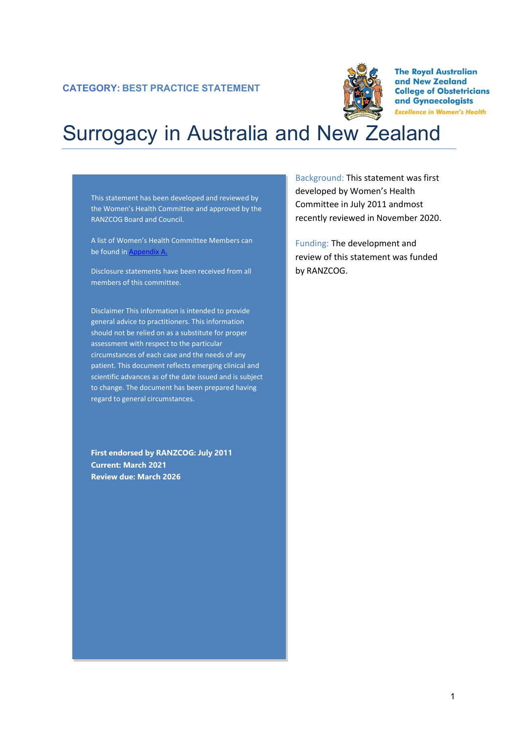

**The Royal Australian** and New Zealand **College of Obstetricians** and Gynaecologists **Excellence in Women's Health** 

# Surrogacy in Australia and New Zealand

This statement has been developed and reviewed by the Women's Health Committee and approved by the RANZCOG Board and Council.

A list of Women's Health Committee Members can be found in Appendix A.

Disclosure statements have been received from all members of this committee.

Disclaimer This information is intended to provide general advice to practitioners. This information should not be relied on as a substitute for proper assessment with respect to the particular circumstances of each case and the needs of any patient. This document reflects emerging clinical and scientific advances as of the date issued and is subject to change. The document has been prepared having regard to general circumstances.

**First endorsed by RANZCOG: July 2011 Current: March 2021 Review due: March 2026**

Background: This statement was first developed by Women's Health Committee in July 2011 andmost recently reviewed in November 2020.

Funding: The development and review of this statement was funded by RANZCOG.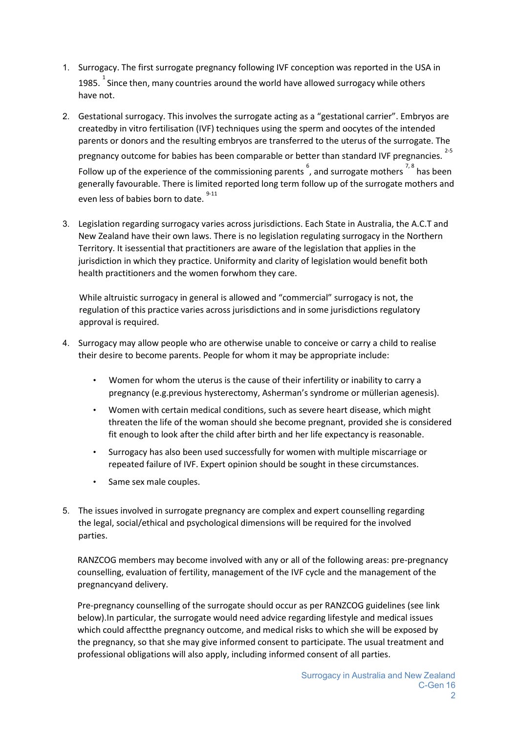- 1. Surrogacy. The first surrogate pregnancy following IVF conception was reported in the USA in 1985.  $^{1}$  Since then, many countries around the world have allowed surrogacy while others have not.
- 2. Gestational surrogacy. This involves the surrogate acting as a "gestational carrier". Embryos are createdby in vitro fertilisation (IVF) techniques using the sperm and oocytes of the intended parents or donors and the resulting embryos are transferred to the uterus of the surrogate. The pregnancy outcome for babies has been comparable or better than standard IVF pregnancies. [2-5](#page-2-0) Follow up of the experience of the commissioning parents  $\overset{6}{\,}$ [, a](#page-2-1)nd surrogate mothers  $^{7,8}$  $^{7,8}$  $^{7,8}$  has been generally favourable. There is limited reported long term follow up of the surrogate mothers and even less of babies born to date.  $9-11$
- 3. Legislation regarding surrogacy varies across jurisdictions. Each State in Australia, the A.C.T and New Zealand have their own laws. There is no legislation regulating surrogacy in the Northern Territory. It isessential that practitioners are aware of the legislation that applies in the jurisdiction in which they practice. Uniformity and clarity of legislation would benefit both health practitioners and the women forwhom they care.

While altruistic surrogacy in general is allowed and "commercial" surrogacy is not, the regulation of this practice varies across jurisdictions and in some jurisdictions regulatory approval is required.

- 4. Surrogacy may allow people who are otherwise unable to conceive or carry a child to realise their desire to become parents. People for whom it may be appropriate include:
	- Women for whom the uterus is the cause of their infertility or inability to carry a pregnancy (e.g.previous hysterectomy, Asherman's syndrome or müllerian agenesis).
	- Women with certain medical conditions, such as severe heart disease, which might threaten the life of the woman should she become pregnant, provided she is considered fit enough to look after the child after birth and her life expectancy is reasonable.
	- Surrogacy has also been used successfully for women with multiple miscarriage or repeated failure of IVF. Expert opinion should be sought in these circumstances.
	- Same sex male couples.
- 5. The issues involved in surrogate pregnancy are complex and expert counselling regarding the legal, social/ethical and psychological dimensions will be required for the involved parties.

RANZCOG members may become involved with any or all of the following areas: pre-pregnancy counselling, evaluation of fertility, management of the IVF cycle and the management of the pregnancyand delivery.

Pre-pregnancy counselling of the surrogate should occur as per RANZCOG guidelines (see link below).In particular, the surrogate would need advice regarding lifestyle and medical issues which could affectthe pregnancy outcome, and medical risks to which she will be exposed by the pregnancy, so that she may give informed consent to participate. The usual treatment and professional obligations will also apply, including informed consent of all parties.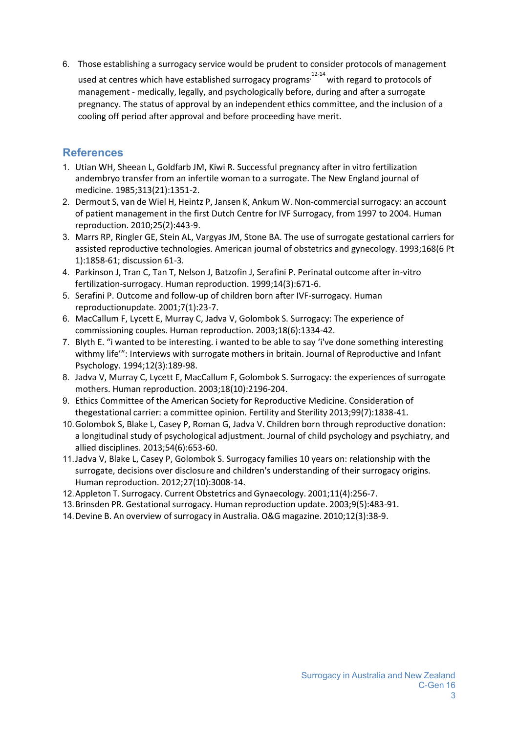6. Those establishing a surrogacy service would be prudent to consider protocols of management u[s](#page-2-5)ed at centres which have established surrogacy programs<sup>,  $12-14$ </sup> with regard to protocols of management - medically, legally, and psychologically before, during and after a surrogate pregnancy. The status of approval by an independent ethics committee, and the inclusion of a cooling off period after approval and before proceeding have merit.

## **References**

- 1. Utian WH, Sheean L, Goldfarb JM, Kiwi R. Successful pregnancy after in vitro fertilization andembryo transfer from an infertile woman to a surrogate. The New England journal of medicine. 1985;313(21):1351-2.
- <span id="page-2-0"></span>2. Dermout S, van de Wiel H, Heintz P, Jansen K, Ankum W. Non-commercialsurrogacy: an account of patient management in the first Dutch Centre for IVF Surrogacy, from 1997 to 2004. Human reproduction. 2010;25(2):443-9.
- 3. Marrs RP, Ringler GE, Stein AL, Vargyas JM, Stone BA. The use of surrogate gestational carriers for assisted reproductive technologies. American journal of obstetrics and gynecology. 1993;168(6 Pt 1):1858-61; discussion 61-3.
- 4. Parkinson J, Tran C, Tan T, Nelson J, Batzofin J, Serafini P. Perinatal outcome after in-vitro fertilization-surrogacy. Human reproduction. 1999;14(3):671-6.
- 5. Serafini P. Outcome and follow-up of children born after IVF-surrogacy. Human reproductionupdate. 2001;7(1):23-7.
- <span id="page-2-1"></span>6. MacCallum F, Lycett E, Murray C, Jadva V, Golombok S. Surrogacy: The experience of commissioning couples. Human reproduction. 2003;18(6):1334-42.
- <span id="page-2-2"></span>7. Blyth E. "i wanted to be interesting. i wanted to be able to say 'i've done something interesting withmy life'": Interviews with surrogate mothers in britain. Journal of Reproductive and Infant Psychology. 1994;12(3):189-98.
- <span id="page-2-3"></span>8. Jadva V, Murray C, Lycett E, MacCallum F, Golombok S. Surrogacy: the experiences of surrogate mothers. Human reproduction. 2003;18(10):2196-204.
- <span id="page-2-4"></span>9. Ethics Committee of the American Society for Reproductive Medicine. Consideration of thegestational carrier: a committee opinion. Fertility and Sterility 2013;99(7):1838-41.
- 10.Golombok S, Blake L, Casey P, Roman G, Jadva V. Children born through reproductive donation: a longitudinal study of psychological adjustment. Journal of child psychology and psychiatry, and allied disciplines. 2013;54(6):653-60.
- 11.Jadva V, Blake L, Casey P, Golombok S. Surrogacy families 10 years on: relationship with the surrogate, decisions over disclosure and children's understanding of their surrogacy origins. Human reproduction. 2012;27(10):3008-14.
- <span id="page-2-5"></span>12.Appleton T. Surrogacy. Current Obstetrics and Gynaecology. 2001;11(4):256-7.
- 13.Brinsden PR. Gestational surrogacy. Human reproduction update. 2003;9(5):483-91.
- 14.Devine B. An overview of surrogacy in Australia. O&G magazine. 2010;12(3):38-9.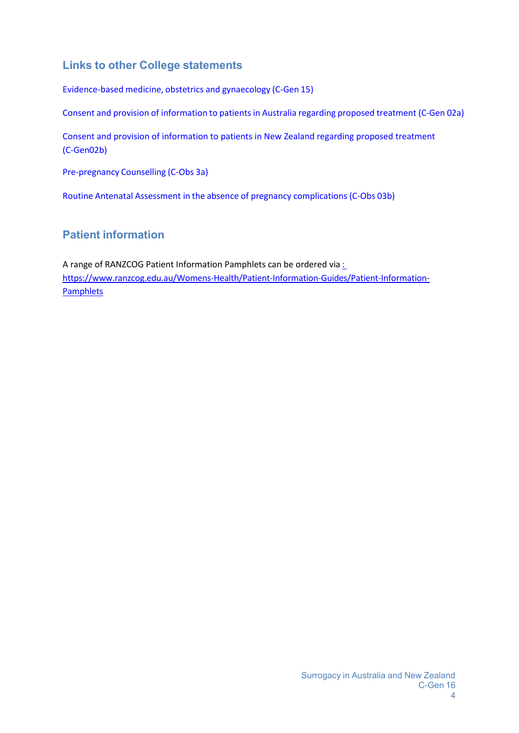# **Links to other College statements**

[Evidence-based](https://www.ranzcog.edu.au/RANZCOG_SITE/media/RANZCOG-MEDIA/Women%27s%20Health/Statement%20and%20guidelines/Clinical%20-%20General/Evidence-based-medicine%2C-Obstetrics-and-Gynaecology-(C-Gen-15)-Review-March-2016.pdf?ext=.pdf) medicine, obstetrics and gynaecology (C-Gen 15)

Consent and provision of [information](https://ranzcog.edu.au/statements-guidelines/general/consent-provision-information-patient) to patients in Australia regarding proposed treatment (C-Gen 02a)

[Consent and provision of information to patients in New Zealand regarding proposed treatment](https://ranzcog.edu.au/statements-guidelines/general/consent-and-provision-of-information-to-patients-i)  [\(C-Gen](https://ranzcog.edu.au/statements-guidelines/general/consent-and-provision-of-information-to-patients-i)[02b\)](https://www.ranzcog.edu.au/RANZCOG_SITE/media/RANZCOG-MEDIA/Women%27s%20Health/Statement%20and%20guidelines/Clinical%20-%20General/Consent-and-provision-of-information-NZ-(C-Gen-2b)-Review-March-2016.pdf?ext=.pdf)

[Pre-pregnancy](https://ranzcog.edu.au/statements-guidelines/obstetrics/pre-pregnancy-counselling-(c-obs-3a)) Counselling (C-Obs 3a)

Routine Antenatal Assessment in the absence of pregnancy [complications](https://ranzcog.edu.au/statements-guidelines/obstetrics/routine-antenatal-assessment-in-the-absence-of-pre) (C-Obs 03b)

# **Patient information**

A range of RANZCOG Patient Information Pamphlets can be ordered via: [https://www.ranzcog.edu.au/Womens-Health/Patient-Information-Guides/Patient-Information-](:%20https:/www.ranzcog.edu.au/Womens-Health/Patient-Information-Guides/Patient-Information-Pamphlets)**[Pamphlets](:%20https:/www.ranzcog.edu.au/Womens-Health/Patient-Information-Guides/Patient-Information-Pamphlets)**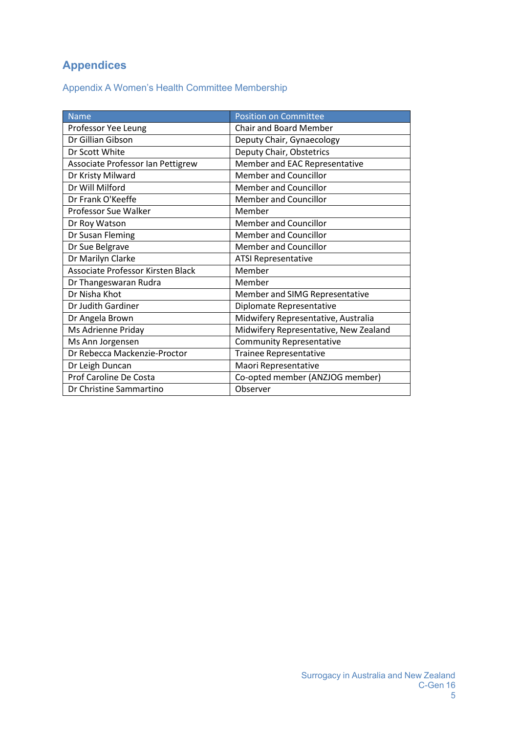# **Appendices**

Appendix A Women's Health Committee Membership

| <b>Name</b>                       | <b>Position on Committee</b>          |
|-----------------------------------|---------------------------------------|
| Professor Yee Leung               | <b>Chair and Board Member</b>         |
| Dr Gillian Gibson                 | Deputy Chair, Gynaecology             |
| Dr Scott White                    | Deputy Chair, Obstetrics              |
| Associate Professor Ian Pettigrew | Member and EAC Representative         |
| Dr Kristy Milward                 | <b>Member and Councillor</b>          |
| Dr Will Milford                   | <b>Member and Councillor</b>          |
| Dr Frank O'Keeffe                 | <b>Member and Councillor</b>          |
| <b>Professor Sue Walker</b>       | Member                                |
| Dr Roy Watson                     | <b>Member and Councillor</b>          |
| Dr Susan Fleming                  | <b>Member and Councillor</b>          |
| Dr Sue Belgrave                   | <b>Member and Councillor</b>          |
| Dr Marilyn Clarke                 | <b>ATSI Representative</b>            |
| Associate Professor Kirsten Black | Member                                |
| Dr Thangeswaran Rudra             | Member                                |
| Dr Nisha Khot                     | Member and SIMG Representative        |
| Dr Judith Gardiner                | Diplomate Representative              |
| Dr Angela Brown                   | Midwifery Representative, Australia   |
| Ms Adrienne Priday                | Midwifery Representative, New Zealand |
| Ms Ann Jorgensen                  | <b>Community Representative</b>       |
| Dr Rebecca Mackenzie-Proctor      | <b>Trainee Representative</b>         |
| Dr Leigh Duncan                   | Maori Representative                  |
| Prof Caroline De Costa            | Co-opted member (ANZJOG member)       |
| Dr Christine Sammartino           | Observer                              |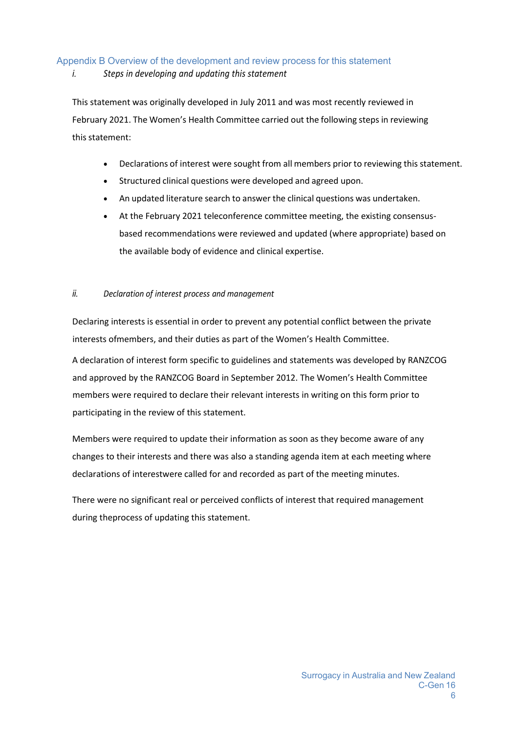### Appendix B Overview of the development and review process for this statement

#### *i. Steps in developing and updating this statement*

This statement was originally developed in July 2011 and was most recently reviewed in February 2021. The Women's Health Committee carried out the following steps in reviewing this statement:

- Declarations of interest were sought from all members prior to reviewing this statement.
- Structured clinical questions were developed and agreed upon.
- An updated literature search to answer the clinical questions was undertaken.
- At the February 2021 teleconference committee meeting, the existing consensusbased recommendations were reviewed and updated (where appropriate) based on the available body of evidence and clinical expertise.

#### *ii. Declaration of interest process and management*

Declaring interests is essential in order to prevent any potential conflict between the private interests ofmembers, and their duties as part of the Women's Health Committee.

A declaration of interest form specific to guidelines and statements was developed by RANZCOG and approved by the RANZCOG Board in September 2012. The Women's Health Committee members were required to declare their relevant interests in writing on this form prior to participating in the review of this statement.

Members were required to update their information as soon as they become aware of any changes to their interests and there was also a standing agenda item at each meeting where declarations of interestwere called for and recorded as part of the meeting minutes.

There were no significant real or perceived conflicts of interest that required management during theprocess of updating this statement.